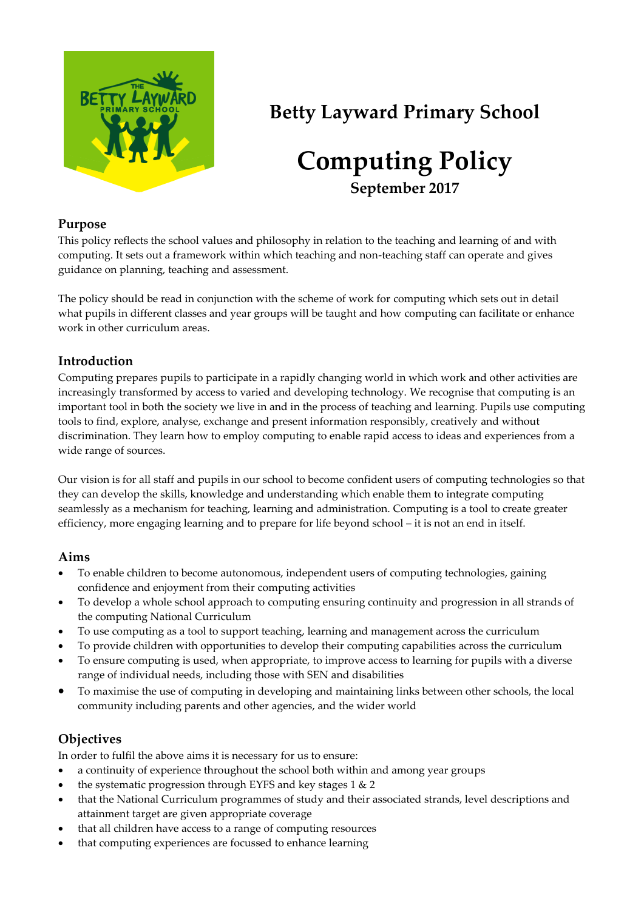

# **Betty Layward Primary School**

# **Computing Policy September 2017**

#### **Purpose**

This policy reflects the school values and philosophy in relation to the teaching and learning of and with computing. It sets out a framework within which teaching and non-teaching staff can operate and gives guidance on planning, teaching and assessment.

The policy should be read in conjunction with the scheme of work for computing which sets out in detail what pupils in different classes and year groups will be taught and how computing can facilitate or enhance work in other curriculum areas.

## **Introduction**

Computing prepares pupils to participate in a rapidly changing world in which work and other activities are increasingly transformed by access to varied and developing technology. We recognise that computing is an important tool in both the society we live in and in the process of teaching and learning. Pupils use computing tools to find, explore, analyse, exchange and present information responsibly, creatively and without discrimination. They learn how to employ computing to enable rapid access to ideas and experiences from a wide range of sources.

Our vision is for all staff and pupils in our school to become confident users of computing technologies so that they can develop the skills, knowledge and understanding which enable them to integrate computing seamlessly as a mechanism for teaching, learning and administration. Computing is a tool to create greater efficiency, more engaging learning and to prepare for life beyond school – it is not an end in itself.

## **Aims**

- To enable children to become autonomous, independent users of computing technologies, gaining confidence and enjoyment from their computing activities
- To develop a whole school approach to computing ensuring continuity and progression in all strands of the computing National Curriculum
- To use computing as a tool to support teaching, learning and management across the curriculum
- To provide children with opportunities to develop their computing capabilities across the curriculum
- To ensure computing is used, when appropriate, to improve access to learning for pupils with a diverse range of individual needs, including those with SEN and disabilities
- To maximise the use of computing in developing and maintaining links between other schools, the local community including parents and other agencies, and the wider world

# **Objectives**

In order to fulfil the above aims it is necessary for us to ensure:

- a continuity of experience throughout the school both within and among year groups
- the systematic progression through EYFS and key stages 1 & 2
- that the National Curriculum programmes of study and their associated strands, level descriptions and attainment target are given appropriate coverage
- that all children have access to a range of computing resources
- that computing experiences are focussed to enhance learning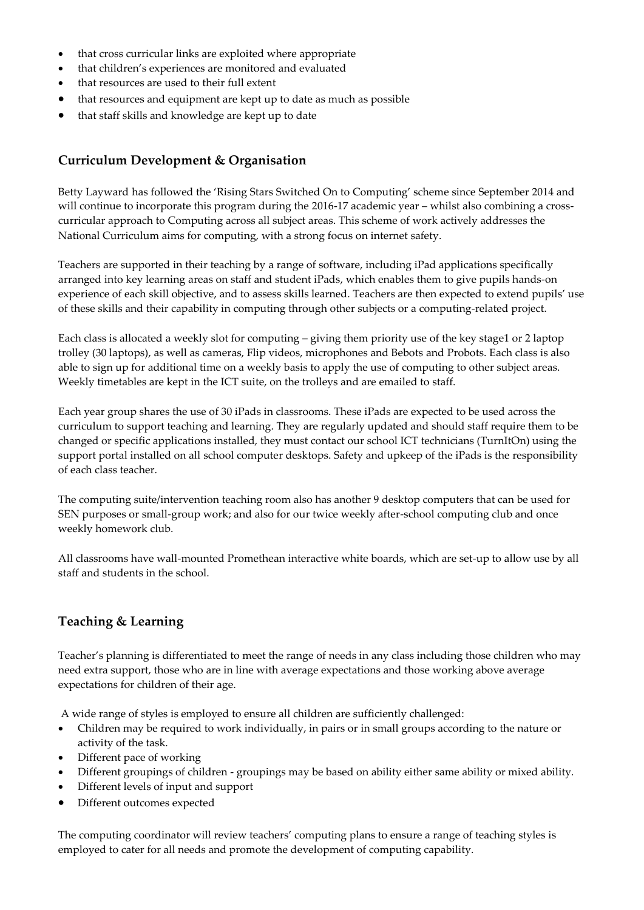- that cross curricular links are exploited where appropriate
- that children's experiences are monitored and evaluated
- that resources are used to their full extent
- that resources and equipment are kept up to date as much as possible
- that staff skills and knowledge are kept up to date

### **Curriculum Development & Organisation**

Betty Layward has followed the 'Rising Stars Switched On to Computing' scheme since September 2014 and will continue to incorporate this program during the 2016-17 academic year – whilst also combining a crosscurricular approach to Computing across all subject areas. This scheme of work actively addresses the National Curriculum aims for computing, with a strong focus on internet safety.

Teachers are supported in their teaching by a range of software, including iPad applications specifically arranged into key learning areas on staff and student iPads, which enables them to give pupils hands-on experience of each skill objective, and to assess skills learned. Teachers are then expected to extend pupils' use of these skills and their capability in computing through other subjects or a computing-related project.

Each class is allocated a weekly slot for computing – giving them priority use of the key stage1 or 2 laptop trolley (30 laptops), as well as cameras, Flip videos, microphones and Bebots and Probots. Each class is also able to sign up for additional time on a weekly basis to apply the use of computing to other subject areas. Weekly timetables are kept in the ICT suite, on the trolleys and are emailed to staff.

Each year group shares the use of 30 iPads in classrooms. These iPads are expected to be used across the curriculum to support teaching and learning. They are regularly updated and should staff require them to be changed or specific applications installed, they must contact our school ICT technicians (TurnItOn) using the support portal installed on all school computer desktops. Safety and upkeep of the iPads is the responsibility of each class teacher.

The computing suite/intervention teaching room also has another 9 desktop computers that can be used for SEN purposes or small-group work; and also for our twice weekly after-school computing club and once weekly homework club.

All classrooms have wall-mounted Promethean interactive white boards, which are set-up to allow use by all staff and students in the school.

## **Teaching & Learning**

Teacher's planning is differentiated to meet the range of needs in any class including those children who may need extra support, those who are in line with average expectations and those working above average expectations for children of their age.

A wide range of styles is employed to ensure all children are sufficiently challenged:

- Children may be required to work individually, in pairs or in small groups according to the nature or activity of the task.
- Different pace of working
- Different groupings of children groupings may be based on ability either same ability or mixed ability.
- Different levels of input and support
- Different outcomes expected

The computing coordinator will review teachers' computing plans to ensure a range of teaching styles is employed to cater for all needs and promote the development of computing capability.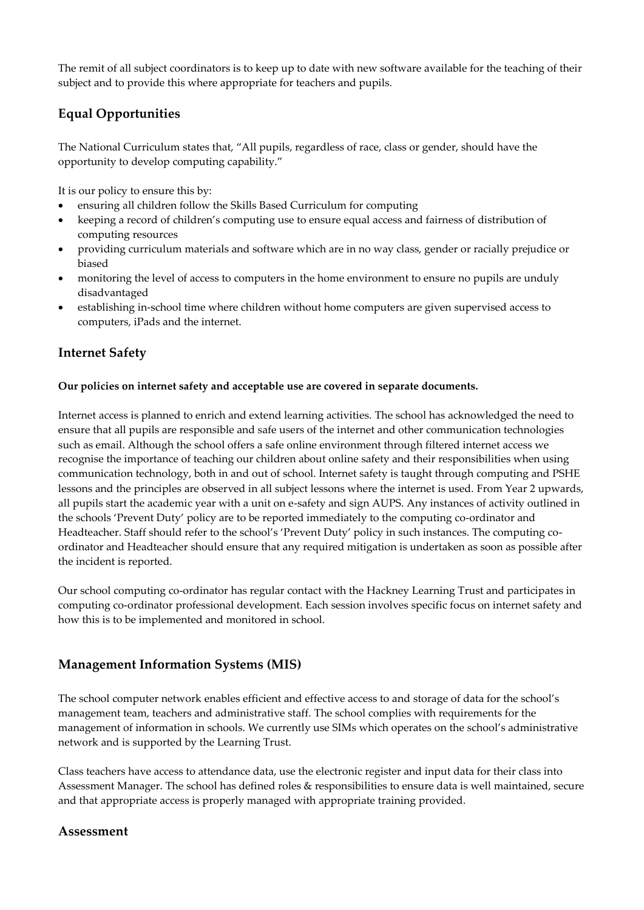The remit of all subject coordinators is to keep up to date with new software available for the teaching of their subject and to provide this where appropriate for teachers and pupils.

## **Equal Opportunities**

The National Curriculum states that, "All pupils, regardless of race, class or gender, should have the opportunity to develop computing capability."

It is our policy to ensure this by:

- ensuring all children follow the Skills Based Curriculum for computing
- keeping a record of children's computing use to ensure equal access and fairness of distribution of computing resources
- providing curriculum materials and software which are in no way class, gender or racially prejudice or biased
- monitoring the level of access to computers in the home environment to ensure no pupils are unduly disadvantaged
- establishing in-school time where children without home computers are given supervised access to computers, iPads and the internet.

## **Internet Safety**

#### **Our policies on internet safety and acceptable use are covered in separate documents.**

Internet access is planned to enrich and extend learning activities. The school has acknowledged the need to ensure that all pupils are responsible and safe users of the internet and other communication technologies such as email. Although the school offers a safe online environment through filtered internet access we recognise the importance of teaching our children about online safety and their responsibilities when using communication technology, both in and out of school. Internet safety is taught through computing and PSHE lessons and the principles are observed in all subject lessons where the internet is used. From Year 2 upwards, all pupils start the academic year with a unit on e-safety and sign AUPS. Any instances of activity outlined in the schools 'Prevent Duty' policy are to be reported immediately to the computing co-ordinator and Headteacher. Staff should refer to the school's 'Prevent Duty' policy in such instances. The computing coordinator and Headteacher should ensure that any required mitigation is undertaken as soon as possible after the incident is reported.

Our school computing co-ordinator has regular contact with the Hackney Learning Trust and participates in computing co-ordinator professional development. Each session involves specific focus on internet safety and how this is to be implemented and monitored in school.

#### **Management Information Systems (MIS)**

The school computer network enables efficient and effective access to and storage of data for the school's management team, teachers and administrative staff. The school complies with requirements for the management of information in schools. We currently use SIMs which operates on the school's administrative network and is supported by the Learning Trust.

Class teachers have access to attendance data, use the electronic register and input data for their class into Assessment Manager. The school has defined roles & responsibilities to ensure data is well maintained, secure and that appropriate access is properly managed with appropriate training provided.

#### **Assessment**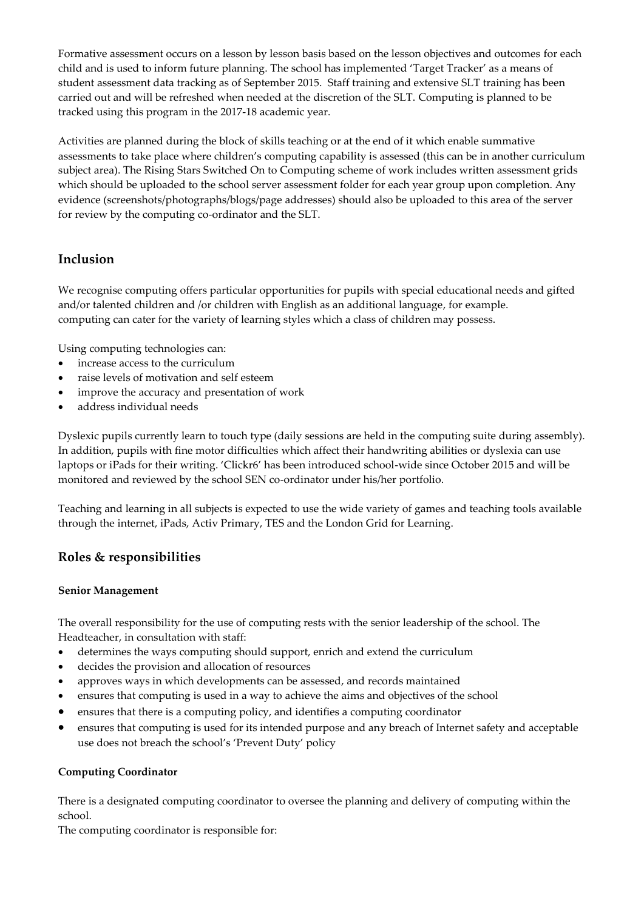Formative assessment occurs on a lesson by lesson basis based on the lesson objectives and outcomes for each child and is used to inform future planning. The school has implemented 'Target Tracker' as a means of student assessment data tracking as of September 2015. Staff training and extensive SLT training has been carried out and will be refreshed when needed at the discretion of the SLT. Computing is planned to be tracked using this program in the 2017-18 academic year.

Activities are planned during the block of skills teaching or at the end of it which enable summative assessments to take place where children's computing capability is assessed (this can be in another curriculum subject area). The Rising Stars Switched On to Computing scheme of work includes written assessment grids which should be uploaded to the school server assessment folder for each year group upon completion. Any evidence (screenshots/photographs/blogs/page addresses) should also be uploaded to this area of the server for review by the computing co-ordinator and the SLT.

### **Inclusion**

We recognise computing offers particular opportunities for pupils with special educational needs and gifted and/or talented children and /or children with English as an additional language, for example. computing can cater for the variety of learning styles which a class of children may possess.

Using computing technologies can:

- increase access to the curriculum
- raise levels of motivation and self esteem
- improve the accuracy and presentation of work
- address individual needs

Dyslexic pupils currently learn to touch type (daily sessions are held in the computing suite during assembly). In addition, pupils with fine motor difficulties which affect their handwriting abilities or dyslexia can use laptops or iPads for their writing. 'Clickr6' has been introduced school-wide since October 2015 and will be monitored and reviewed by the school SEN co-ordinator under his/her portfolio.

Teaching and learning in all subjects is expected to use the wide variety of games and teaching tools available through the internet, iPads, Activ Primary, TES and the London Grid for Learning.

## **Roles & responsibilities**

#### **Senior Management**

The overall responsibility for the use of computing rests with the senior leadership of the school. The Headteacher, in consultation with staff:

- determines the ways computing should support, enrich and extend the curriculum
- decides the provision and allocation of resources
- approves ways in which developments can be assessed, and records maintained
- ensures that computing is used in a way to achieve the aims and objectives of the school
- ensures that there is a computing policy, and identifies a computing coordinator
- ensures that computing is used for its intended purpose and any breach of Internet safety and acceptable use does not breach the school's 'Prevent Duty' policy

#### **Computing Coordinator**

There is a designated computing coordinator to oversee the planning and delivery of computing within the school.

The computing coordinator is responsible for: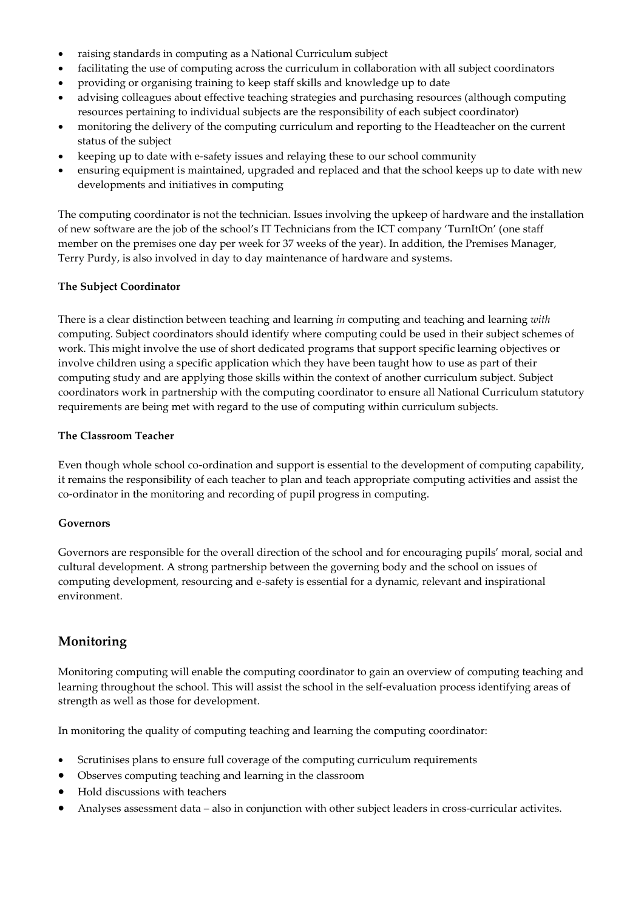- raising standards in computing as a National Curriculum subject
- facilitating the use of computing across the curriculum in collaboration with all subject coordinators
- providing or organising training to keep staff skills and knowledge up to date
- advising colleagues about effective teaching strategies and purchasing resources (although computing resources pertaining to individual subjects are the responsibility of each subject coordinator)
- monitoring the delivery of the computing curriculum and reporting to the Headteacher on the current status of the subject
- keeping up to date with e-safety issues and relaying these to our school community
- ensuring equipment is maintained, upgraded and replaced and that the school keeps up to date with new developments and initiatives in computing

The computing coordinator is not the technician. Issues involving the upkeep of hardware and the installation of new software are the job of the school's IT Technicians from the ICT company 'TurnItOn' (one staff member on the premises one day per week for 37 weeks of the year). In addition, the Premises Manager, Terry Purdy, is also involved in day to day maintenance of hardware and systems.

#### **The Subject Coordinator**

There is a clear distinction between teaching and learning *in* computing and teaching and learning *with* computing. Subject coordinators should identify where computing could be used in their subject schemes of work. This might involve the use of short dedicated programs that support specific learning objectives or involve children using a specific application which they have been taught how to use as part of their computing study and are applying those skills within the context of another curriculum subject. Subject coordinators work in partnership with the computing coordinator to ensure all National Curriculum statutory requirements are being met with regard to the use of computing within curriculum subjects.

#### **The Classroom Teacher**

Even though whole school co-ordination and support is essential to the development of computing capability, it remains the responsibility of each teacher to plan and teach appropriate computing activities and assist the co-ordinator in the monitoring and recording of pupil progress in computing.

#### **Governors**

Governors are responsible for the overall direction of the school and for encouraging pupils' moral, social and cultural development. A strong partnership between the governing body and the school on issues of computing development, resourcing and e-safety is essential for a dynamic, relevant and inspirational environment.

### **Monitoring**

Monitoring computing will enable the computing coordinator to gain an overview of computing teaching and learning throughout the school. This will assist the school in the self-evaluation process identifying areas of strength as well as those for development.

In monitoring the quality of computing teaching and learning the computing coordinator:

- Scrutinises plans to ensure full coverage of the computing curriculum requirements
- Observes computing teaching and learning in the classroom
- Hold discussions with teachers
- Analyses assessment data also in conjunction with other subject leaders in cross-curricular activites.